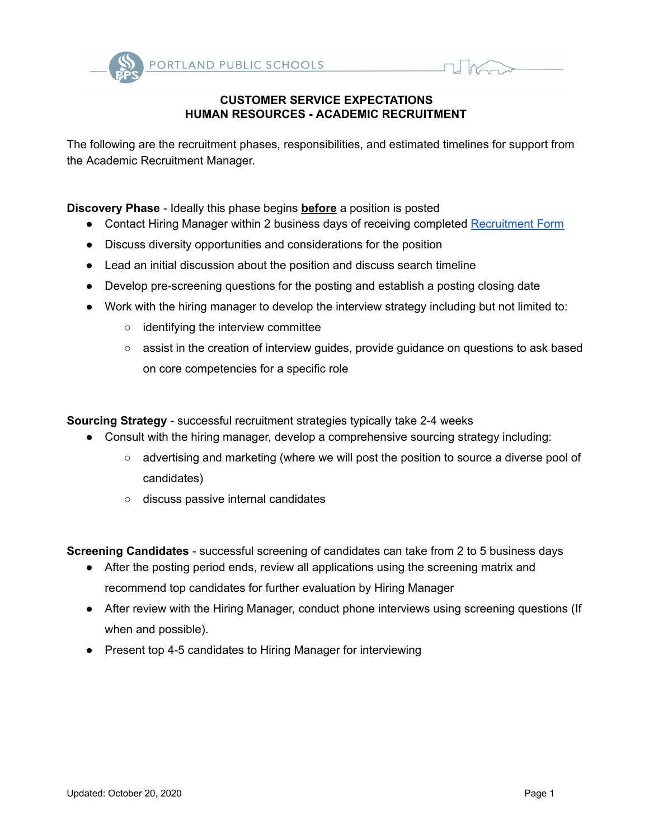

## **CUSTOMER SERVICE EXPECTATIONS HUMAN RESOURCES - ACADEMIC RECRUITMENT**

The following are the recruitment phases, responsibilities, and estimated timelines for support from the Academic Recruitment Manager.

**Discovery Phase** - Ideally this phase begins **before** a position is posted

- Contact Hiring Manager within 2 business days of receiving completed [Recruitment](https://forms.gle/d6e3h2tETEzqNPHb8) Form
- Discuss diversity opportunities and considerations for the position
- Lead an initial discussion about the position and discuss search timeline
- Develop pre-screening questions for the posting and establish a posting closing date
- Work with the hiring manager to develop the interview strategy including but not limited to:
	- identifying the interview committee
	- assist in the creation of interview guides, provide guidance on questions to ask based on core competencies for a specific role

**Sourcing Strategy** - successful recruitment strategies typically take 2-4 weeks

- Consult with the hiring manager, develop a comprehensive sourcing strategy including:
	- advertising and marketing (where we will post the position to source a diverse pool of candidates)
	- discuss passive internal candidates

**Screening Candidates** - successful screening of candidates can take from 2 to 5 business days

- After the posting period ends, review all applications using the screening matrix and recommend top candidates for further evaluation by Hiring Manager
- After review with the Hiring Manager, conduct phone interviews using screening questions (If when and possible).
- Present top 4-5 candidates to Hiring Manager for interviewing